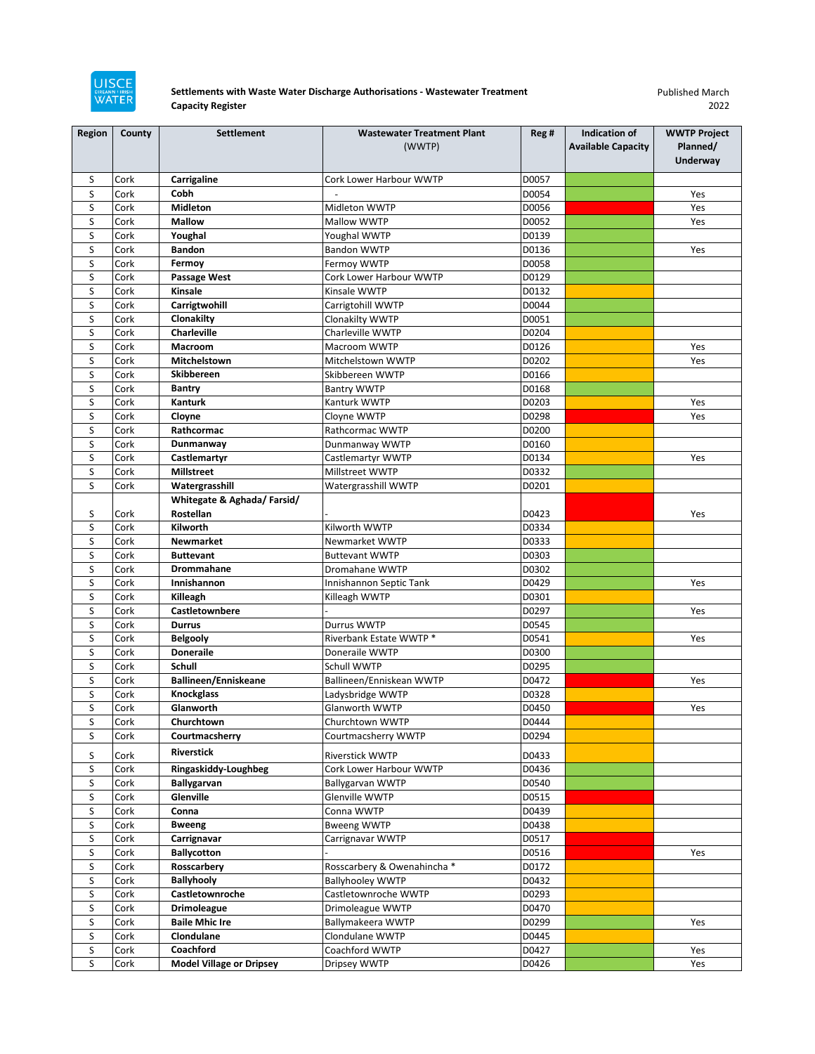

## **Settlements with Waste Water Discharge Authorisations - Wastewater Treatment Capacity Register**

Published March 2022

| <b>Region</b> | County | <b>Settlement</b>               | <b>Wastewater Treatment Plant</b> | Reg # | Indication of             | <b>WWTP Project</b> |
|---------------|--------|---------------------------------|-----------------------------------|-------|---------------------------|---------------------|
|               |        |                                 | (WWTP)                            |       | <b>Available Capacity</b> | Planned/            |
|               |        |                                 |                                   |       |                           | Underway            |
| S             | Cork   | Carrigaline                     | Cork Lower Harbour WWTP           | D0057 |                           |                     |
| S             | Cork   | Cobh                            |                                   | D0054 |                           | Yes                 |
| S             | Cork   | <b>Midleton</b>                 | Midleton WWTP                     | D0056 |                           | Yes                 |
| S             | Cork   | <b>Mallow</b>                   | Mallow WWTP                       | D0052 |                           | Yes                 |
| S             | Cork   | Youghal                         | Youghal WWTP                      | D0139 |                           |                     |
| S             | Cork   | <b>Bandon</b>                   | Bandon WWTP                       | D0136 |                           | Yes                 |
| S             | Cork   | Fermoy                          | Fermoy WWTP                       | D0058 |                           |                     |
| S             | Cork   | Passage West                    | Cork Lower Harbour WWTP           | D0129 |                           |                     |
| S             | Cork   | Kinsale                         | Kinsale WWTP                      | D0132 |                           |                     |
| S             | Cork   | Carrigtwohill                   | Carrigtohill WWTP                 | D0044 |                           |                     |
| S             | Cork   | Clonakilty                      | Clonakilty WWTP                   | D0051 |                           |                     |
| S             | Cork   | Charleville                     | Charleville WWTP                  | D0204 |                           |                     |
| S             | Cork   | Macroom                         | Macroom WWTP                      | D0126 |                           | Yes                 |
| S             | Cork   | Mitchelstown                    | Mitchelstown WWTP                 | D0202 |                           | Yes                 |
| S             | Cork   | <b>Skibbereen</b>               | Skibbereen WWTP                   | D0166 |                           |                     |
| S             | Cork   | <b>Bantry</b>                   | <b>Bantry WWTP</b>                | D0168 |                           |                     |
| S             | Cork   | Kanturk                         | Kanturk WWTP                      | D0203 |                           | Yes                 |
| S             | Cork   | Cloyne                          | Cloyne WWTP                       | D0298 |                           | Yes                 |
| S             | Cork   | Rathcormac                      | Rathcormac WWTP                   | D0200 |                           |                     |
| S             | Cork   | Dunmanway                       | Dunmanway WWTP                    | D0160 |                           |                     |
| S             | Cork   | Castlemartyr                    | Castlemartyr WWTP                 | D0134 |                           | Yes                 |
| S             | Cork   | <b>Millstreet</b>               | Millstreet WWTP                   | D0332 |                           |                     |
| S             | Cork   | Watergrasshill                  | Watergrasshill WWTP               | D0201 |                           |                     |
|               |        | Whitegate & Aghada/Farsid/      |                                   |       |                           |                     |
| S             | Cork   | Rostellan                       |                                   | D0423 |                           | Yes                 |
| S             | Cork   | Kilworth                        | Kilworth WWTP                     | D0334 |                           |                     |
| S             | Cork   | <b>Newmarket</b>                | Newmarket WWTP                    | D0333 |                           |                     |
| S             | Cork   | <b>Buttevant</b>                | <b>Buttevant WWTP</b>             | D0303 |                           |                     |
| S             | Cork   | Drommahane                      | Dromahane WWTP                    | D0302 |                           |                     |
| S             | Cork   | Innishannon                     | Innishannon Septic Tank           | D0429 |                           | Yes                 |
| S             | Cork   | Killeagh                        | Killeagh WWTP                     | D0301 |                           |                     |
| S             | Cork   | Castletownbere                  |                                   | D0297 |                           | Yes                 |
| S             | Cork   | <b>Durrus</b>                   | Durrus WWTP                       | D0545 |                           |                     |
| S             | Cork   | <b>Belgooly</b>                 | Riverbank Estate WWTP *           | D0541 |                           | Yes                 |
| S             | Cork   | <b>Doneraile</b>                | Doneraile WWTP                    | D0300 |                           |                     |
| S             | Cork   | Schull                          | Schull WWTP                       | D0295 |                           |                     |
| S             | Cork   | Ballineen/Enniskeane            | Ballineen/Enniskean WWTP          | D0472 |                           | Yes                 |
| S             | Cork   | <b>Knockglass</b>               | Ladysbridge WWTP                  | D0328 |                           |                     |
| S             | Cork   | Glanworth                       | Glanworth WWTP                    | D0450 |                           | Yes                 |
| S             | Cork   | Churchtown                      | Churchtown WWTP                   | D0444 |                           |                     |
| S             | Cork   | Courtmacsherry                  | Courtmacsherry WWTP               | D0294 |                           |                     |
| S             | Cork   | <b>Riverstick</b>               | Riverstick WWTP                   | D0433 |                           |                     |
| S             | Cork   | Ringaskiddy-Loughbeg            | Cork Lower Harbour WWTP           | D0436 |                           |                     |
| S             | Cork   | Ballygarvan                     | <b>Ballygarvan WWTP</b>           | D0540 |                           |                     |
| S             | Cork   | Glenville                       | Glenville WWTP                    | D0515 |                           |                     |
| S             | Cork   | Conna                           | Conna WWTP                        | D0439 |                           |                     |
| S             | Cork   | <b>Bweeng</b>                   | <b>Bweeng WWTP</b>                | D0438 |                           |                     |
| S             | Cork   | Carrignavar                     | Carrignavar WWTP                  | D0517 |                           |                     |
| S             | Cork   | <b>Ballycotton</b>              |                                   | D0516 |                           | Yes                 |
| S             | Cork   | Rosscarbery                     | Rosscarbery & Owenahincha *       | D0172 |                           |                     |
| S             | Cork   | <b>Ballyhooly</b>               | <b>Ballyhooley WWTP</b>           | D0432 |                           |                     |
| S             | Cork   | Castletownroche                 | Castletownroche WWTP              | D0293 |                           |                     |
| S             | Cork   | <b>Drimoleague</b>              | Drimoleague WWTP                  | D0470 |                           |                     |
| S             | Cork   | <b>Baile Mhic Ire</b>           | Ballymakeera WWTP                 | D0299 |                           | Yes                 |
| S             | Cork   | Clondulane                      | Clondulane WWTP                   | D0445 |                           |                     |
| S             | Cork   | Coachford                       | Coachford WWTP                    | D0427 |                           | Yes                 |
| S             | Cork   | <b>Model Village or Dripsey</b> | Dripsey WWTP                      | D0426 |                           | Yes                 |
|               |        |                                 |                                   |       |                           |                     |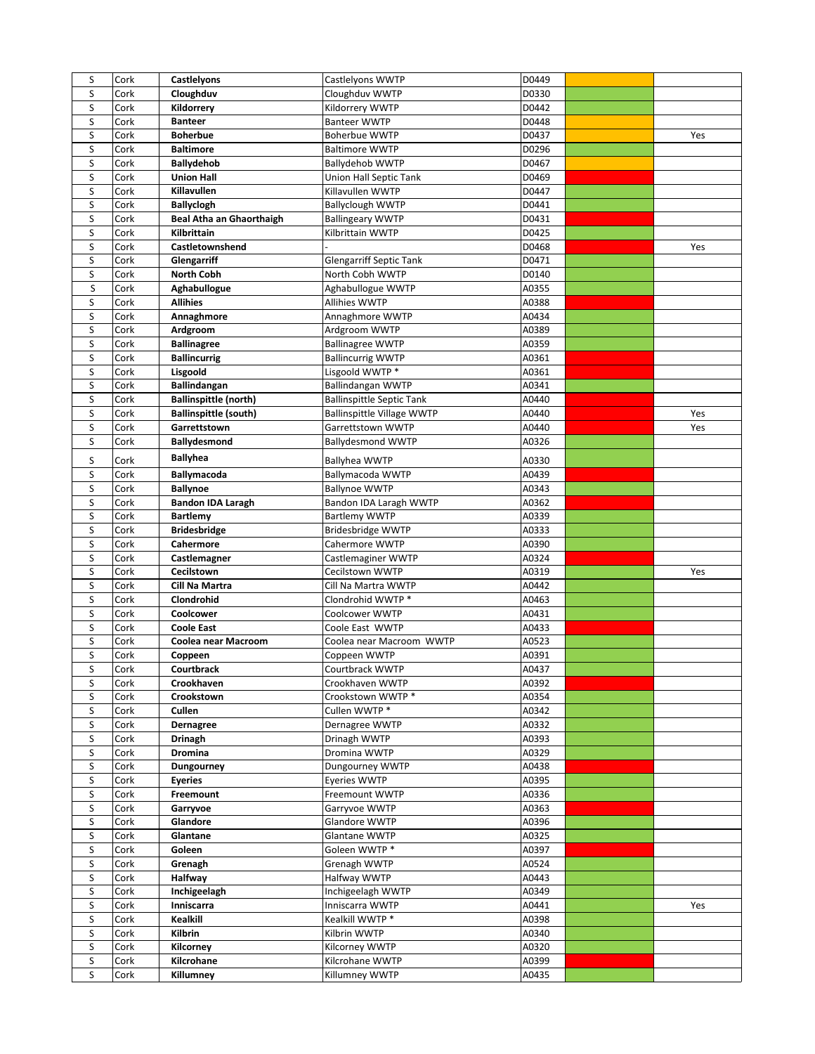| S      | Cork         | Castlelyons                     | Castlelyons WWTP                                  | D0449          |     |
|--------|--------------|---------------------------------|---------------------------------------------------|----------------|-----|
| S      | Cork         | Cloughduv                       | Cloughduv WWTP                                    | D0330          |     |
| S      | Cork         | Kildorrery                      | Kildorrery WWTP                                   | D0442          |     |
| S      | Cork         | <b>Banteer</b>                  | <b>Banteer WWTP</b>                               | D0448          |     |
| S      | Cork         | <b>Boherbue</b>                 | <b>Boherbue WWTP</b>                              | D0437          | Yes |
| S      | Cork         | <b>Baltimore</b>                | <b>Baltimore WWTP</b>                             | D0296          |     |
| S      | Cork         | <b>Ballydehob</b>               | <b>Ballydehob WWTP</b>                            | D0467          |     |
| S      | Cork         | <b>Union Hall</b>               | Union Hall Septic Tank                            | D0469          |     |
| S      | Cork         | Killavullen                     | Killavullen WWTP                                  | D0447          |     |
| S      | Cork         | <b>Ballyclogh</b>               | <b>Ballyclough WWTP</b>                           | D0441          |     |
| S      | Cork         | <b>Beal Atha an Ghaorthaigh</b> | <b>Ballingeary WWTP</b>                           | D0431          |     |
| S      | Cork         | Kilbrittain                     | Kilbrittain WWTP                                  | D0425          |     |
| S      | Cork         | Castletownshend                 |                                                   | D0468          | Yes |
| S<br>S | Cork<br>Cork | Glengarriff<br>North Cobh       | <b>Glengarriff Septic Tank</b><br>North Cobh WWTP | D0471<br>D0140 |     |
| S      | Cork         | Aghabullogue                    | Aghabullogue WWTP                                 | A0355          |     |
| S      | Cork         | <b>Allihies</b>                 | Allihies WWTP                                     | A0388          |     |
| S      | Cork         | Annaghmore                      | Annaghmore WWTP                                   | A0434          |     |
| S      | Cork         | Ardgroom                        | Ardgroom WWTP                                     | A0389          |     |
| S      | Cork         | <b>Ballinagree</b>              | <b>Ballinagree WWTP</b>                           | A0359          |     |
| S      | Cork         | <b>Ballincurrig</b>             | <b>Ballincurrig WWTP</b>                          | A0361          |     |
| S      | Cork         | Lisgoold                        | Lisgoold WWTP*                                    | A0361          |     |
| S      | Cork         | <b>Ballindangan</b>             | <b>Ballindangan WWTP</b>                          | A0341          |     |
| S      | Cork         | <b>Ballinspittle (north)</b>    | <b>Ballinspittle Septic Tank</b>                  | A0440          |     |
| S      | Cork         | <b>Ballinspittle (south)</b>    | <b>Ballinspittle Village WWTP</b>                 | A0440          | Yes |
| S      | Cork         | Garrettstown                    | Garrettstown WWTP                                 | A0440          | Yes |
| S      | Cork         | <b>Ballydesmond</b>             | <b>Ballydesmond WWTP</b>                          | A0326          |     |
| S      | Cork         | <b>Ballyhea</b>                 | Ballyhea WWTP                                     | A0330          |     |
| S      | Cork         | <b>Ballymacoda</b>              | Ballymacoda WWTP                                  | A0439          |     |
| S      | Cork         | <b>Ballynoe</b>                 | <b>Ballynoe WWTP</b>                              | A0343          |     |
| S      | Cork         | <b>Bandon IDA Laragh</b>        | Bandon IDA Laragh WWTP                            | A0362          |     |
| S      | Cork         | <b>Bartlemy</b>                 | <b>Bartlemy WWTP</b>                              | A0339          |     |
| S      | Cork         | <b>Bridesbridge</b>             | Bridesbridge WWTP                                 | A0333          |     |
| S      | Cork         | Cahermore                       | Cahermore WWTP                                    | A0390          |     |
| S      | Cork         | Castlemagner                    | Castlemaginer WWTP                                | A0324          |     |
| S      | Cork         | Cecilstown                      | Cecilstown WWTP                                   | A0319          | Yes |
| S      | Cork         | Cill Na Martra                  | Cill Na Martra WWTP                               | A0442          |     |
| S      | Cork         | Clondrohid                      | Clondrohid WWTP *                                 | A0463          |     |
| S      | Cork         | <b>Coolcower</b>                | Coolcower WWTP                                    | A0431          |     |
| S      | Cork         | <b>Coole East</b>               | Coole East WWTP                                   | A0433          |     |
| S      | Cork         | Coolea near Macroom             | Coolea near Macroom WWTP                          | A0523          |     |
| S      | Cork         | Coppeen                         | Coppeen WWTP                                      | A0391          |     |
| S<br>S | Cork         | Courtbrack                      | Courtbrack WWTP<br>Crookhaven WWTP                | A0437<br>A0392 |     |
| S      | Cork         | Crookhaven<br>Crookstown        | Crookstown WWTP *                                 |                |     |
| S      | Cork<br>Cork | Cullen                          | Cullen WWTP*                                      | A0354<br>A0342 |     |
| S      | Cork         | Dernagree                       | Dernagree WWTP                                    | A0332          |     |
| S      | Cork         | Drinagh                         | Drinagh WWTP                                      | A0393          |     |
| S      | Cork         | Dromina                         | Dromina WWTP                                      | A0329          |     |
| S      | Cork         | Dungourney                      | Dungourney WWTP                                   | A0438          |     |
| S      | Cork         | <b>Eyeries</b>                  | Eyeries WWTP                                      | A0395          |     |
| S      | Cork         | Freemount                       | Freemount WWTP                                    | A0336          |     |
| S      | Cork         | Garryvoe                        | Garryvoe WWTP                                     | A0363          |     |
| S      | Cork         | Glandore                        | Glandore WWTP                                     | A0396          |     |
| S      | Cork         | Glantane                        | Glantane WWTP                                     | A0325          |     |
| S      | Cork         | Goleen                          | Goleen WWTP*                                      | A0397          |     |
| S      | Cork         | Grenagh                         | Grenagh WWTP                                      | A0524          |     |
| S      | Cork         | Halfway                         | Halfway WWTP                                      | A0443          |     |
| S      | Cork         | Inchigeelagh                    | Inchigeelagh WWTP                                 | A0349          |     |
| S      | Cork         | Inniscarra                      | Inniscarra WWTP                                   | A0441          | Yes |
| S      | Cork         | Kealkill                        | Kealkill WWTP*                                    | A0398          |     |
| S      | Cork         | Kilbrin                         | Kilbrin WWTP                                      | A0340          |     |
| S      | Cork         | Kilcorney                       | Kilcorney WWTP                                    | A0320          |     |
| S      | Cork         | Kilcrohane                      | Kilcrohane WWTP                                   | A0399          |     |
| S      | Cork         | Killumney                       | Killumney WWTP                                    | A0435          |     |